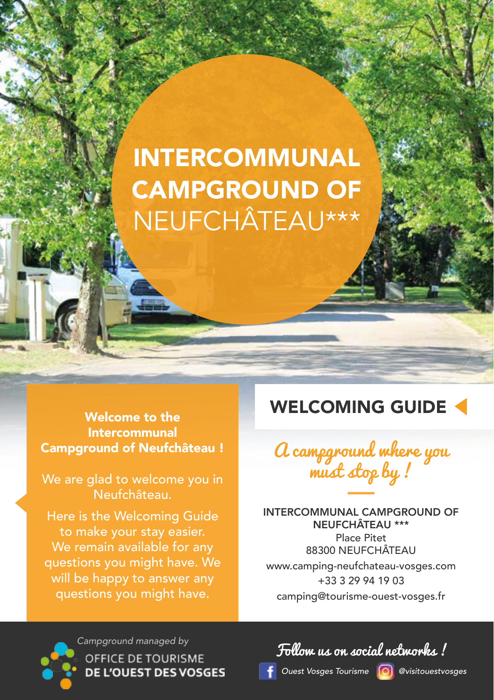## INTERCOMMUNAL CAMPGROUND OF NEUFCHÂTEAU\*\*\*

Intercommunal Campground of Neufchâteau !

We are glad to welcome you in Neufchâteau.

Here is the Welcoming Guide to make your stay easier. We remain available for any questions you might have. We will be happy to answer any questions you might have.

### Welcome to the **WELCOMING GUIDE**



INTERCOMMUNAL CAMPGROUND OF NEUFCHÂTEAU \*\*\* Place Pitet 88300 NEUFCHÂTEAU www.camping-neufchateau-vosges.com +33 3 29 94 19 03 camping@tourisme-ouest-vosges.fr

*Campground managed by***OFFICE DE TOURISME DE L'OUEST DES VOSGES** 

Follow us on social networks !

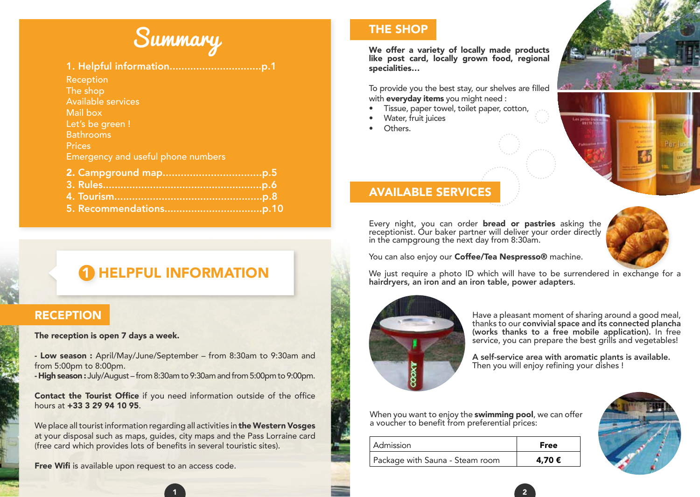# Summary

### 1. Helpful information...............................p.1

**Reception** The shop Available services Mail box Let's be green ! Bathrooms Prices Emergency and useful phone numbers

### **HELPFUL INFORMATION**

### **RECEPTION**

### The reception is open 7 days a week.

- Low season : April/May/June/September – from 8:30am to 9:30am and from 5:00pm to 8:00pm.

- High season : July/August – from 8:30am to 9:30am and from 5:00pm to 9:00pm.

Contact the Tourist Office if you need information outside of the office hours at **+33 3 29 94 10 95**.

We place all tourist information regarding all activities in the Western Vosges at your disposal such as maps, guides, city maps and the Pass Lorraine card (free card which provides lots of benefits in several touristic sites).

Free Wifi is available upon request to an access code.

### THE SHOP

We offer a variety of locally made products like post card, locally grown food, regional specialities…

To provide you the best stay, our shelves are filled with **everyday items** you might need :

- Tissue, paper towel, toilet paper, cotton,
- Water, fruit juices
- Others.



### AVAILABLE SERVICES

Every night, you can order bread or pastries asking the receptionist. Our baker partner will deliver your order directly in the campgroung the next day from 8:30am.



You can also enjoy our **Coffee/Tea Nespresso®** machine.

We just require a photo ID which will have to be surrendered in exchange for a hairdryers, an iron and an iron table, power adapters.



 $\blacksquare$  1 ) and 2 is the contract of  $\blacksquare$ 

Have a pleasant moment of sharing around a good meal, thanks to our convivial space and its connected plancha (works thanks to a free mobile application). In free service, you can prepare the best grills and vegetables!

A self-service area with aromatic plants is available. Then you will enjoy refining your dishes !

When you want to enjoy the **swimming pool**, we can offer a voucher to benefit from preferential prices:

| Admission                       | <b>Free</b> |
|---------------------------------|-------------|
| Package with Sauna - Steam room | 4,70 €      |

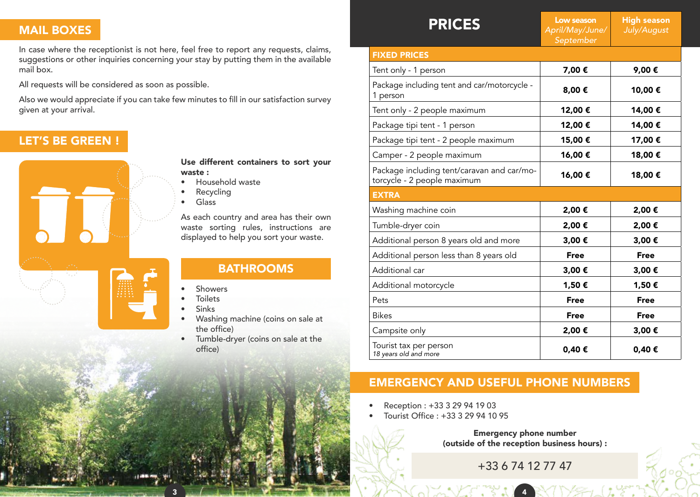### MAIL BOXES

In case where the receptionist is not here, feel free to report any requests, claims, suggestions or other inquiries concerning your stay by putting them in the available mail box.

All requests will be considered as soon as possible.

Also we would appreciate if you can take few minutes to fill in our satisfaction survey given at your arrival.

### LET'S BE GREEN !



Use different containers to sort your waste :

- Household waste
- **Recycling**
- Glass

As each country and area has their own waste sorting rules, instructions are displayed to help you sort your waste.

### BATHROOMS

- **Showers**
- **Toilets**
- Sinks
- Washing machine (coins on sale at the office)
- Tumble-dryer (coins on sale at the office)

| <b>PRICES</b>                                                             | Low season<br>April/May/June/<br>September | <b>High season</b><br>July/August |  |  |
|---------------------------------------------------------------------------|--------------------------------------------|-----------------------------------|--|--|
| <b>FIXED PRICES</b>                                                       |                                            |                                   |  |  |
| Tent only - 1 person                                                      | 7,00€                                      | 9,00€                             |  |  |
| Package including tent and car/motorcycle -<br>1 person                   | 8,00€                                      | 10,00€                            |  |  |
| Tent only - 2 people maximum                                              | 12,00€                                     | 14,00€                            |  |  |
| Package tipi tent - 1 person                                              | 12,00€                                     | 14,00€                            |  |  |
| Package tipi tent - 2 people maximum                                      | 15,00€                                     | 17,00€                            |  |  |
| Camper - 2 people maximum                                                 | 16,00€                                     | 18,00€                            |  |  |
| Package including tent/caravan and car/mo-<br>torcycle - 2 people maximum | 16,00€                                     | 18,00€                            |  |  |
| <b>EXTRA</b>                                                              |                                            |                                   |  |  |
| Washing machine coin                                                      | 2,00€                                      | 2,00€                             |  |  |
| Tumble-dryer coin                                                         | 2,00€                                      | 2,00€                             |  |  |
| Additional person 8 years old and more                                    | 3,00€                                      | 3,00€                             |  |  |
| Additional person less than 8 years old                                   | <b>Free</b>                                | <b>Free</b>                       |  |  |
| Additional car                                                            | 3,00€                                      | 3,00€                             |  |  |
| Additional motorcycle                                                     | 1,50€                                      | 1,50€                             |  |  |
| Pets                                                                      | <b>Free</b>                                | <b>Free</b>                       |  |  |
| <b>Bikes</b>                                                              | <b>Free</b>                                | <b>Free</b>                       |  |  |
| Campsite only                                                             | 2,00€                                      | 3,00€                             |  |  |
| Tourist tax per person<br>18 years old and more                           | 0,40€                                      | 0,40€                             |  |  |

### EMERGENCY AND USEFUL PHONE NUMBERS

• Reception : +33 3 29 94 19 03

3 4

• Tourist Office : +33 3 29 94 10 95

Emergency phone number (outside of the reception business hours) :

+33 6 74 12 77 47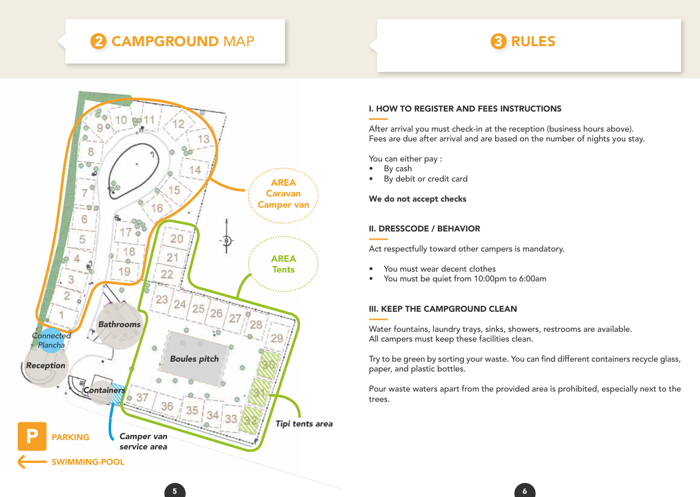## **2 CAMPGROUND** MAP 3 RULES



### I. HOW TO REGISTER AND FEES INSTRUCTIONS

After arrival you must check-in at the reception (business hours above). Fees are due after arrival and are based on the number of nights you stay.

You can either pay :

- By cash
- By debit or credit card

### We do not accept checks

### II. DRESSCODE / BEHAVIOR

Act respectfully toward other campers is mandatory.

- You must wear decent clothes
- You must be quiet from 10:00pm to 6:00am

### III. KEEP THE CAMPGROUND CLEAN

Water fountains, laundry trays, sinks, showers, restrooms are available. All campers must keep these facilities clean.

Try to be green by sorting your waste. You can find different containers recycle glass, paper, and plastic bottles.

Pour waste waters apart from the provided area is prohibited, especially next to the trees.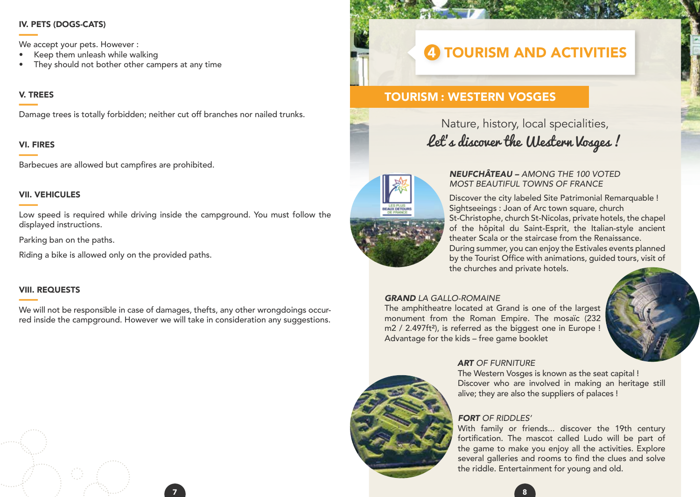### IV. PETS (DOGS-CATS)

We accept your pets. However :

- Keep them unleash while walking
- They should not bother other campers at any time

### V. TREES

Damage trees is totally forbidden; neither cut off branches nor nailed trunks.

### VI. FIRES

Barbecues are allowed but campfires are prohibited.

### VII. VEHICULES

Low speed is required while driving inside the campground. You must follow the displayed instructions.

Parking ban on the paths.

Riding a bike is allowed only on the provided paths.

### VIII. REQUESTS

We will not be responsible in case of damages, thefts, any other wrongdoings occurred inside the campground. However we will take in consideration any suggestions.

## **4 TOURISM AND ACTIVITIES**

### TOURISM : WESTERN VOSGES

### Nature, history, local specialities, Let's discover the Western Vosges !



### *NEUFCHÂTEAU – AMONG THE 100 VOTED MOST BEAUTIFUL TOWNS OF FRANCE*

Discover the city labeled Site Patrimonial Remarquable ! Sightseeings : Joan of Arc town square, church St-Christophe, church St-Nicolas, private hotels, the chapel of the hôpital du Saint-Esprit, the Italian-style ancient theater Scala or the staircase from the Renaissance. During summer, you can enjoy the Estivales events planned by the Tourist Office with animations, guided tours, visit of the churches and private hotels.

### *GRAND LA GALLO-ROMAINE*

The amphitheatre located at Grand is one of the largest monument from the Roman Empire. The mosaïc (232 m2 / 2.497ft<sup>2</sup>), is referred as the biggest one in Europe ! Advantage for the kids – free game booklet



### *ART OF FURNITURE*

The Western Vosges is known as the seat capital ! Discover who are involved in making an heritage still alive; they are also the suppliers of palaces !

### *FORT OF RIDDLES'*

With family or friends... discover the 19th century fortification. The mascot called Ludo will be part of the game to make you enjoy all the activities. Explore several galleries and rooms to find the clues and solve the riddle. Entertainment for young and old.



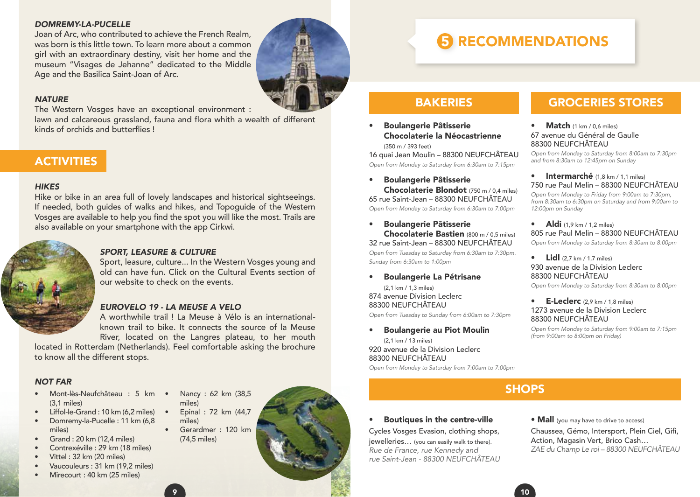#### *DOMREMY-LA-PUCELLE*

Joan of Arc, who contributed to achieve the French Realm, was born is this little town. To learn more about a common girl with an extraordinary destiny, visit her home and the museum "Visages de Jehanne" dedicated to the Middle Age and the Basilica Saint-Joan of Arc.

### *NATURE*

The Western Vosges have an exceptional environment :

lawn and calcareous grassland, fauna and flora whith a wealth of different kinds of orchids and butterflies !

### **ACTIVITIES**

### *HIKES*

Hike or bike in an area full of lovely landscapes and historical sightseeings. If needed, both guides of walks and hikes, and Topoguide of the Western Vosges are available to help you find the spot you will like the most. Trails are also available on your smartphone with the app Cirkwi.



### *SPORT, LEASURE & CULTURE*

Sport, leasure, culture... In the Western Vosges young and old can have fun. Click on the Cultural Events section of our website to check on the events.

### *EUROVELO 19 - LA MEUSE A VELO*

A worthwhile trail ! La Meuse à Vélo is an internationalknown trail to bike. It connects the source of la Meuse River, located on the Langres plateau, to her mouth

located in Rotterdam (Netherlands). Feel comfortable asking the brochure to know all the different stops.

### *NOT FAR*

- Mont-lès-Neufchâteau : 5 km (3,1 miles)
- Liffol-le-Grand : 10 km (6,2 miles) • Domremy-la-Pucelle : 11 km (6,8 miles)
- Grand  $\cdot$  20 km (12,4 miles)
- Contrexéville : 29 km (18 miles)
- Vittel : 32 km (20 miles)
- Vaucouleurs : 31 km (19,2 miles)
- Mirecourt : 40 km (25 miles)
- Nancy : 62 km (38,5 miles)
- Epinal : 72 km (44,7 miles)
- Gerardmer : 120 km (74,5 miles)
- 

## **RECOMMENDATIONS**

### **BAKERIES**

• Boulangerie Pâtisserie Chocolaterie la Néocastrienne

(350 m / 393 feet) 16 quai Jean Moulin – 88300 NEUFCHÂTEAU *Open from Monday to Saturday from 6:30am to 7:15pm*

• Boulangerie Pâtisserie Chocolaterie Blondot (750 m / 0,4 miles) 65 rue Saint-Jean – 88300 NEUFCHÂTEAU

*Open from Monday to Saturday from 6:30am to 7:00pm*

• Boulangerie Pâtisserie Chocolaterie Bastien (800 m / 0,5 miles) 32 rue Saint-Jean – 88300 NEUFCHÂTEAU

*Open from Tuesday to Saturday from 6:30am to 7:30pm. Sunday from 6:30am to 1:00pm*

• Boulangerie La Pétrisane

(2,1 km / 1,3 miles) 874 avenue Division Leclerc 88300 NEUFCHÂTEAU

*Open from Tuesday to Sunday from 6:00am to 7:30pm*

### • Boulangerie au Piot Moulin

(2,1 km / 13 miles) 920 avenue de la Division Leclerc 88300 NEUFCHÂTEAU

*Open from Monday to Saturday from 7:00am to 7:00pm*

### **SHOPS**

### Boutiques in the centre-ville

Cycles Vosges Evasion, clothing shops, jewelleries… (you can easily walk to there). *Rue de France, rue Kennedy and rue Saint-Jean - 88300 NEUFCHÂTEAU*

### GROCERIES STORES

#### Match (1 km / 0,6 miles) 67 avenue du Général de Gaulle 88300 NEUFCHÂTEAU

*Open from Monday to Saturday from 8:00am to 7:30pm and from 8:30am to 12:45pm on Sunday*

#### • Intermarché (1,8 km / 1,1 miles) 750 rue Paul Melin – 88300 NEUFCHÂTEAU

*Open from Monday to Friday from 9:00am to 7:30pm, from 8:30am to 6:30pm on Saturday and from 9:00am to 12:00pm on Sunday*

• Aldi  $(1.9 \text{ km} / 1.2 \text{ miles})$ 805 rue Paul Melin – 88300 NEUFCHÂTEAU *Open from Monday to Saturday from 8:30am to 8:00pm*

### $\text{Lidl}$  (2,7 km / 1,7 miles) 930 avenue de la Division Leclerc 88300 NEUFCHÂTEAU

*Open from Monday to Saturday from 8:30am to 8:00pm*

#### $\bullet$  E-Leclerc (2.9 km / 1.8 miles) 1273 avenue de la Division Leclerc 88300 NEUFCHÂTEAU

*Open from Monday to Saturday from 9:00am to 7:15pm (from 9:00am to 8:00pm on Friday)*

#### • **Mall** (you may have to drive to access)

Chaussea, Gémo, Intersport, Plein Ciel, Gifi, Action, Magasin Vert, Brico Cash… *ZAE du Champ Le roi – 88300 NEUFCHÂTEAU*